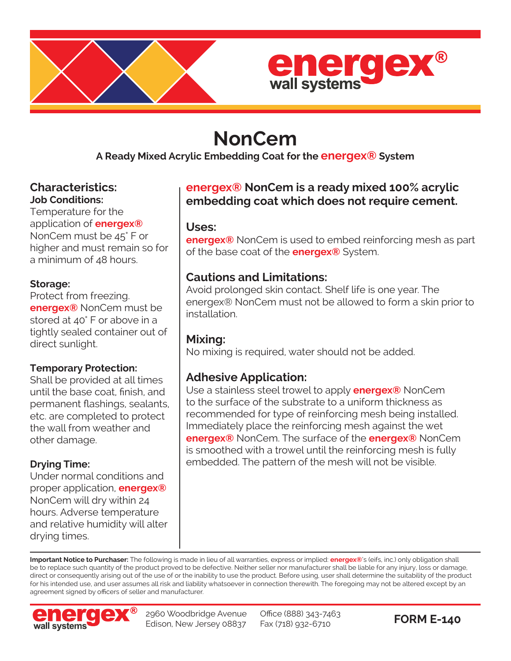



# **NonCem**

**A Ready Mixed Acrylic Embedding Coat for the energex® System**

### **Characteristics: Job Conditions:**

Temperature for the application of **energex®** NonCem must be 45° F or higher and must remain so for a minimum of 48 hours.

## **Storage:**

Protect from freezing. **energex®** NonCem must be stored at 40° F or above in a tightly sealed container out of direct sunlight.

## **Temporary Protection:**

Shall be provided at all times until the base coat, finish, and permanent flashings, sealants, etc. are completed to protect the wall from weather and other damage.

## **Drying Time:**

Under normal conditions and proper application, **energex®** NonCem will dry within 24 hours. Adverse temperature and relative humidity will alter drying times.

# **energex® NonCem is a ready mixed 100% acrylic embedding coat which does not require cement.**

## **Uses:**

**energex®** NonCem is used to embed reinforcing mesh as part of the base coat of the **energex®** System.

# **Cautions and Limitations:**

Avoid prolonged skin contact. Shelf life is one year. The energex® NonCem must not be allowed to form a skin prior to installation.

# **Mixing:**

No mixing is required, water should not be added.

# **Adhesive Application:**

Use a stainless steel trowel to apply **energex®** NonCem to the surface of the substrate to a uniform thickness as recommended for type of reinforcing mesh being installed. Immediately place the reinforcing mesh against the wet **energex®** NonCem. The surface of the **energex®** NonCem is smoothed with a trowel until the reinforcing mesh is fully embedded. The pattern of the mesh will not be visible.

**Important Notice to Purchaser:** The following is made in lieu of all warranties, express or implied: **energex®**'s (eifs, inc.) only obligation shall be to replace such quantity of the product proved to be defective. Neither seller nor manufacturer shall be liable for any injury, loss or damage, direct or consequently arising out of the use of or the inability to use the product. Before using, user shall determine the suitability of the product for his intended use, and user assumes all risk and liability whatsoever in connection therewith. The foregoing may not be altered except by an agreement signed by officers of seller and manufacturer.



2960 Woodbridge Avenue Edison, New Jersey 08837

Office (888) 343-7463 EX (718) 932-6710<br>Fax (718) 932-6710